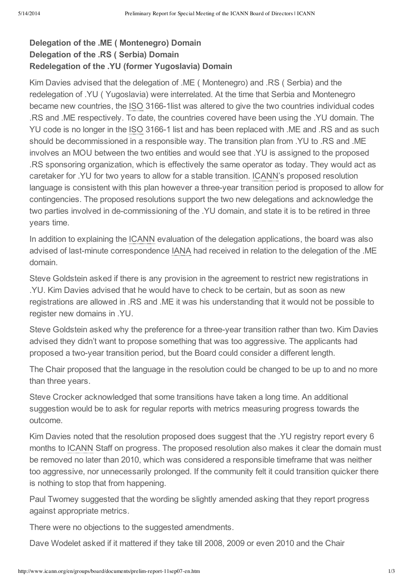## **Delegation of the .ME ( Montenegro) Domain Delegation of the .RS ( Serbia) Domain Redelegation of the .YU (former Yugoslavia) Domain**

Kim Davies advised that the delegation of .ME ( Montenegro) and .RS ( Serbia) and the redelegation of .YU ( Yugoslavia) were interrelated. At the time that Serbia and Montenegro became new countries, the ISO 3166-1list was altered to give the two countries individual codes .RS and .ME respectively. To date, the countries covered have been using the .YU domain. The YU code is no longer in the ISO 3166-1 list and has been replaced with .ME and .RS and as such should be decommissioned in a responsible way. The transition plan from .YU to .RS and .ME involves an MOU between the two entities and would see that .YU is assigned to the proposed .RS sponsoring organization, which is effectively the same operator as today. They would act as caretaker for .YU for two years to allow for a stable transition. ICANN's proposed resolution language is consistent with this plan however a three-year transition period is proposed to allow for contingencies. The proposed resolutions support the two new delegations and acknowledge the two parties involved in de-commissioning of the .YU domain, and state it is to be retired in three years time.

In addition to explaining the ICANN evaluation of the delegation applications, the board was also advised of last-minute correspondence IANA had received in relation to the delegation of the .ME domain.

Steve Goldstein asked if there is any provision in the agreement to restrict new registrations in .YU. Kim Davies advised that he would have to check to be certain, but as soon as new registrations are allowed in .RS and .ME it was his understanding that it would not be possible to register new domains in .YU.

Steve Goldstein asked why the preference for a three-year transition rather than two. Kim Davies advised they didn't want to propose something that was too aggressive. The applicants had proposed a two-year transition period, but the Board could consider a different length.

The Chair proposed that the language in the resolution could be changed to be up to and no more than three years.

Steve Crocker acknowledged that some transitions have taken a long time. An additional suggestion would be to ask for regular reports with metrics measuring progress towards the outcome.

Kim Davies noted that the resolution proposed does suggest that the .YU registry report every 6 months to ICANN Staff on progress. The proposed resolution also makes it clear the domain must be removed no later than 2010, which was considered a responsible timeframe that was neither too aggressive, nor unnecessarily prolonged. If the community felt it could transition quicker there is nothing to stop that from happening.

Paul Twomey suggested that the wording be slightly amended asking that they report progress against appropriate metrics.

There were no objections to the suggested amendments.

Dave Wodelet asked if it mattered if they take till 2008, 2009 or even 2010 and the Chair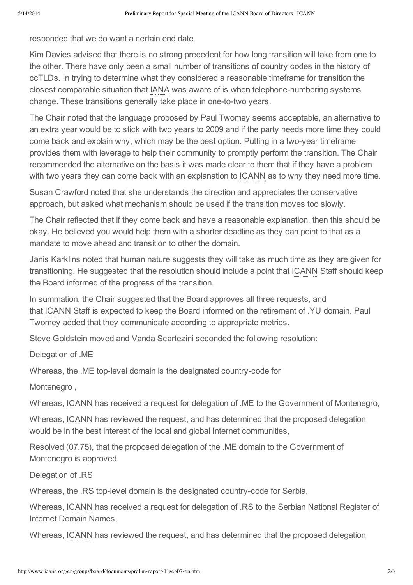responded that we do want a certain end date.

Kim Davies advised that there is no strong precedent for how long transition will take from one to the other. There have only been a small number of transitions of country codes in the history of ccTLDs. In trying to determine what they considered a reasonable timeframe for transition the closest comparable situation that IANA was aware of is when telephone-numbering systems change. These transitions generally take place in one-to-two years.

The Chair noted that the language proposed by Paul Twomey seems acceptable, an alternative to an extra year would be to stick with two years to 2009 and if the party needs more time they could come back and explain why, which may be the best option. Putting in a two-year timeframe provides them with leverage to help their community to promptly perform the transition. The Chair recommended the alternative on the basis it was made clear to them that if they have a problem with two years they can come back with an explanation to ICANN as to why they need more time.

Susan Crawford noted that she understands the direction and appreciates the conservative approach, but asked what mechanism should be used if the transition moves too slowly.

The Chair reflected that if they come back and have a reasonable explanation, then this should be okay. He believed you would help them with a shorter deadline as they can point to that as a mandate to move ahead and transition to other the domain.

Janis Karklins noted that human nature suggests they will take as much time as they are given for transitioning. He suggested that the resolution should include a point that ICANN Staff should keep the Board informed of the progress of the transition.

In summation, the Chair suggested that the Board approves all three requests, and that ICANN Staff is expected to keep the Board informed on the retirement of .YU domain. Paul Twomey added that they communicate according to appropriate metrics.

Steve Goldstein moved and Vanda Scartezini seconded the following resolution:

Delegation of .ME

Whereas, the .ME top-level domain is the designated country-code for

Montenegro,

Whereas, ICANN has received a request for delegation of .ME to the Government of Montenegro,

Whereas, ICANN has reviewed the request, and has determined that the proposed delegation would be in the best interest of the local and global Internet communities,

Resolved (07.75), that the proposed delegation of the .ME domain to the Government of Montenegro is approved.

Delegation of .RS

Whereas, the .RS top-level domain is the designated country-code for Serbia,

Whereas, ICANN has received a request for delegation of .RS to the Serbian National Register of Internet Domain Names,

Whereas, ICANN has reviewed the request, and has determined that the proposed delegation